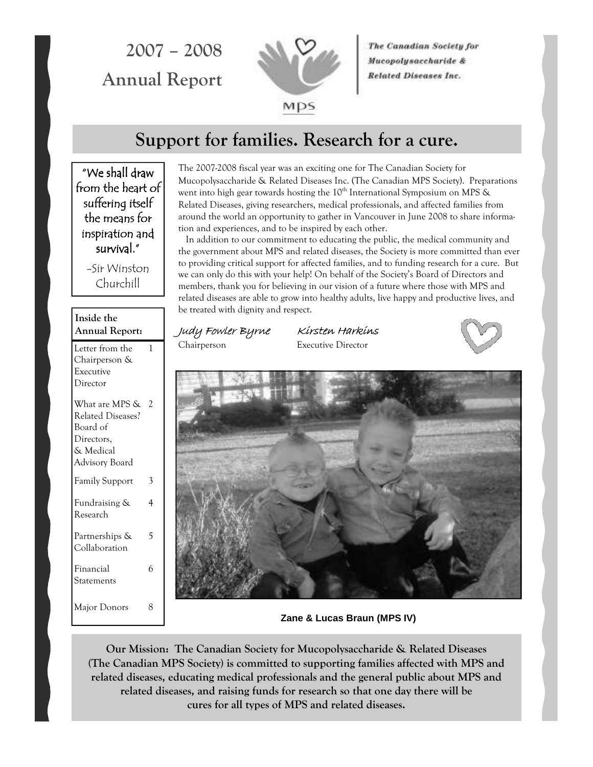2007 – 2008 Annual Report



The Canadian Society for Mucopolysaccharide & **Related Diseases Inc.** 

## Support for families. Research for a cure.

"We shall draw from the heart of suffering itself the means for inspiration and survival."

> -Sir Winston Churchill

| Inside the<br>Annual Report:                                                                        |   |
|-----------------------------------------------------------------------------------------------------|---|
| Letter from the<br>Chairperson &<br>Executive<br>Director                                           | 1 |
| What are MPS &<br><b>Related Diseases?</b><br>Board of<br>Directors,<br>& Medical<br>Advisory Board | 2 |
| <b>Family Support</b>                                                                               | 3 |
| Fundraising &<br>Research                                                                           | 4 |
| Partnerships &<br>Collaboration                                                                     | 5 |
| Financial<br>Statements                                                                             | 6 |
| Major Donors                                                                                        | 8 |

The 2007-2008 fiscal year was an exciting one for The Canadian Society for Mucopolysaccharide & Related Diseases Inc. (The Canadian MPS Society). Preparations went into high gear towards hosting the  $10<sup>th</sup>$  International Symposium on MPS  $\&$ Related Diseases, giving researchers, medical professionals, and affected families from around the world an opportunity to gather in Vancouver in June 2008 to share information and experiences, and to be inspired by each other.

 In addition to our commitment to educating the public, the medical community and the government about MPS and related diseases, the Society is more committed than ever to providing critical support for affected families, and to funding research for a cure. But we can only do this with your help! On behalf of the Society's Board of Directors and members, thank you for believing in our vision of a future where those with MPS and related diseases are able to grow into healthy adults, live happy and productive lives, and be treated with dignity and respect.

Judy Fowler Byrne Kirsten Harkins Chairperson Executive Director



**Zane & Lucas Braun (MPS IV)** 

Our Mission: The Canadian Society for Mucopolysaccharide & Related Diseases (The Canadian MPS Society) is committed to supporting families affected with MPS and related diseases, educating medical professionals and the general public about MPS and related diseases, and raising funds for research so that one day there will be cures for all types of MPS and related diseases.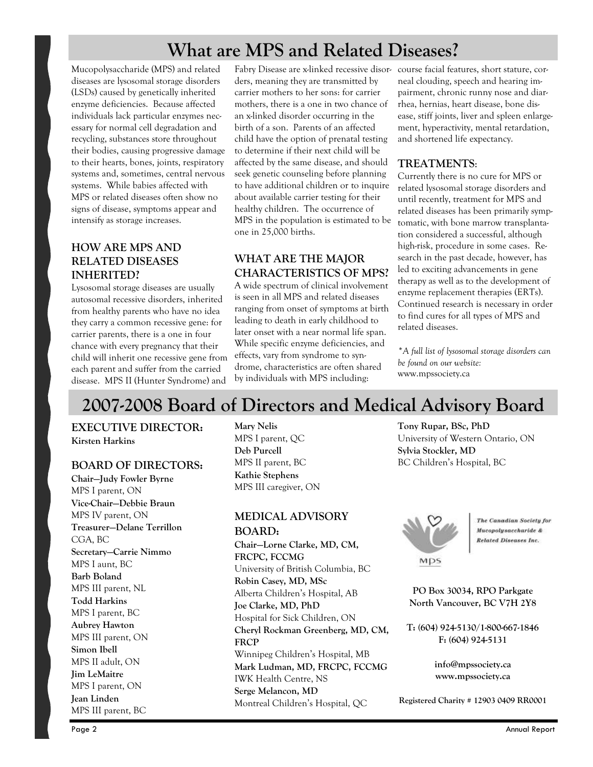# What are MPS and Related Diseases?

Mucopolysaccharide (MPS) and related diseases are lysosomal storage disorders (LSDs) caused by genetically inherited enzyme deficiencies. Because affected individuals lack particular enzymes necessary for normal cell degradation and recycling, substances store throughout their bodies, causing progressive damage to their hearts, bones, joints, respiratory systems and, sometimes, central nervous systems. While babies affected with MPS or related diseases often show no signs of disease, symptoms appear and intensify as storage increases.

## HOW ARE MPS AND RELATED DISEASES INHERITED?

Lysosomal storage diseases are usually autosomal recessive disorders, inherited from healthy parents who have no idea they carry a common recessive gene: for carrier parents, there is a one in four chance with every pregnancy that their child will inherit one recessive gene from each parent and suffer from the carried disease. MPS II (Hunter Syndrome) and

Fabry Disease are x-linked recessive disor-course facial features, short stature, corders, meaning they are transmitted by carrier mothers to her sons: for carrier mothers, there is a one in two chance of an x-linked disorder occurring in the birth of a son. Parents of an affected child have the option of prenatal testing to determine if their next child will be affected by the same disease, and should seek genetic counseling before planning to have additional children or to inquire about available carrier testing for their healthy children. The occurrence of MPS in the population is estimated to be one in 25,000 births.

## WHAT ARE THE MAJOR CHARACTERISTICS OF MPS?

A wide spectrum of clinical involvement is seen in all MPS and related diseases ranging from onset of symptoms at birth leading to death in early childhood to later onset with a near normal life span. While specific enzyme deficiencies, and effects, vary from syndrome to syndrome, characteristics are often shared by individuals with MPS including:

neal clouding, speech and hearing impairment, chronic runny nose and diarrhea, hernias, heart disease, bone disease, stiff joints, liver and spleen enlargement, hyperactivity, mental retardation, and shortened life expectancy.

## TREATMENTS:

Currently there is no cure for MPS or related lysosomal storage disorders and until recently, treatment for MPS and related diseases has been primarily symptomatic, with bone marrow transplantation considered a successful, although high-risk, procedure in some cases. Research in the past decade, however, has led to exciting advancements in gene therapy as well as to the development of enzyme replacement therapies (ERTs). Continued research is necessary in order to find cures for all types of MPS and related diseases.

\*A full list of lysosomal storage disorders can be found on our website: www.mpssociety.ca

# 2007-2008 Board of Directors and Medical Advisory Board

EXECUTIVE DIRECTOR: Kirsten Harkins

## BOARD OF DIRECTORS:

Chair—Judy Fowler Byrne MPS I parent, ON Vice-Chair—Debbie Braun MPS IV parent, ON Treasurer—Delane Terrillon CGA, BC Secretary—Carrie Nimmo MPS I aunt, BC Barb Boland MPS III parent, NL Todd Harkins MPS I parent, BC Aubrey Hawton MPS III parent, ON Simon Ibell MPS II adult, ON Jim LeMaitre MPS I parent, ON Jean Linden MPS III parent, BC

Mary Nelis MPS I parent, QC Deb Purcell MPS II parent, BC Kathie Stephens MPS III caregiver, ON

## MEDICAL ADVISORY BOARD:

Chair—Lorne Clarke, MD, CM, FRCPC, FCCMG University of British Columbia, BC Robin Casey, MD, MSc Alberta Children's Hospital, AB Joe Clarke, MD, PhD Hospital for Sick Children, ON Cheryl Rockman Greenberg, MD, CM, FRCP Winnipeg Children's Hospital, MB Mark Ludman, MD, FRCPC, FCCMG IWK Health Centre, NS Serge Melancon, MD Montreal Children's Hospital, QC

Tony Rupar, BSc, PhD University of Western Ontario, ON Sylvia Stockler, MD BC Children's Hospital, BC



**The Canadian Society for** Mucopolysaccharide & **Related Diseases Inc.** 

PO Box 30034, RPO Parkgate North Vancouver, BC V7H 2Y8

T: (604) 924-5130/1-800-667-1846 F: (604) 924-5131

> info@mpssociety.ca www.mpssociety.ca

Registered Charity # 12903 0409 RR0001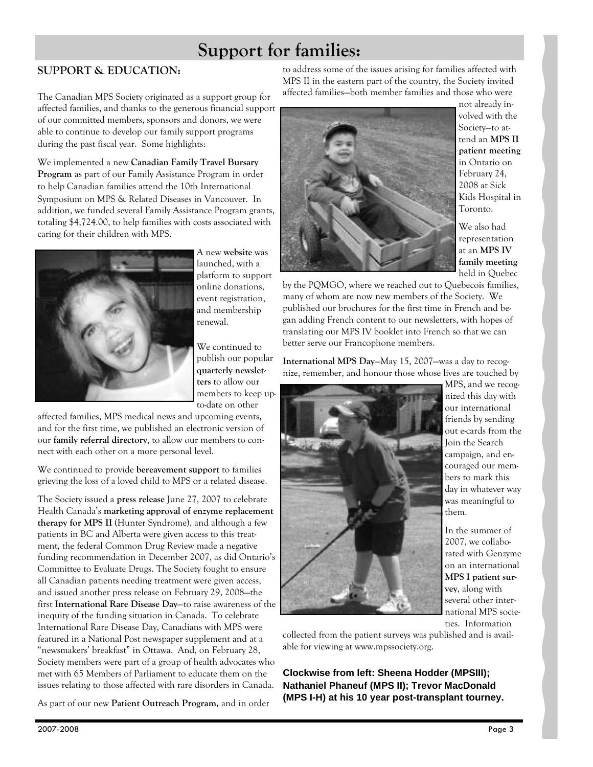# Support for families:

## SUPPORT & EDUCATION:

The Canadian MPS Society originated as a support group for affected families, and thanks to the generous financial support of our committed members, sponsors and donors, we were able to continue to develop our family support programs during the past fiscal year. Some highlights:

We implemented a new Canadian Family Travel Bursary Program as part of our Family Assistance Program in order to help Canadian families attend the 10th International Symposium on MPS & Related Diseases in Vancouver. In addition, we funded several Family Assistance Program grants, totaling \$4,724.00, to help families with costs associated with caring for their children with MPS.



A new website was launched, with a platform to support online donations, event registration, and membership renewal.

We continued to publish our popular quarterly newsletters to allow our members to keep upto-date on other

affected families, MPS medical news and upcoming events, and for the first time, we published an electronic version of our family referral directory, to allow our members to connect with each other on a more personal level.

We continued to provide bereavement support to families grieving the loss of a loved child to MPS or a related disease.

The Society issued a press release June 27, 2007 to celebrate Health Canada's marketing approval of enzyme replacement therapy for MPS II (Hunter Syndrome), and although a few patients in BC and Alberta were given access to this treatment, the federal Common Drug Review made a negative funding recommendation in December 2007, as did Ontario's Committee to Evaluate Drugs. The Society fought to ensure all Canadian patients needing treatment were given access, and issued another press release on February 29, 2008—the first International Rare Disease Day-to raise awareness of the inequity of the funding situation in Canada. To celebrate International Rare Disease Day, Canadians with MPS were featured in a National Post newspaper supplement and at a "newsmakers' breakfast" in Ottawa. And, on February 28, Society members were part of a group of health advocates who met with 65 Members of Parliament to educate them on the issues relating to those affected with rare disorders in Canada.

As part of our new Patient Outreach Program, and in order

to address some of the issues arising for families affected with MPS II in the eastern part of the country, the Society invited affected families—both member families and those who were



not already involved with the Society—to attend an MPS II patient meeting in Ontario on February 24, 2008 at Sick Kids Hospital in Toronto.

We also had representation at an MPS IV family meeting held in Quebec

by the PQMGO, where we reached out to Quebecois families, many of whom are now new members of the Society. We published our brochures for the first time in French and began adding French content to our newsletters, with hopes of translating our MPS IV booklet into French so that we can better serve our Francophone members.

International MPS Day—May 15, 2007—was a day to recognize, remember, and honour those whose lives are touched by



MPS, and we recognized this day with our international friends by sending out e-cards from the Join the Search campaign, and encouraged our members to mark this day in whatever way was meaningful to them.

In the summer of 2007, we collaborated with Genzyme on an international MPS I patient survey, along with several other international MPS societies. Information

collected from the patient surveys was published and is available for viewing at www.mpssociety.org.

**Clockwise from left: Sheena Hodder (MPSIII); Nathaniel Phaneuf (MPS II); Trevor MacDonald (MPS I-H) at his 10 year post-transplant tourney.**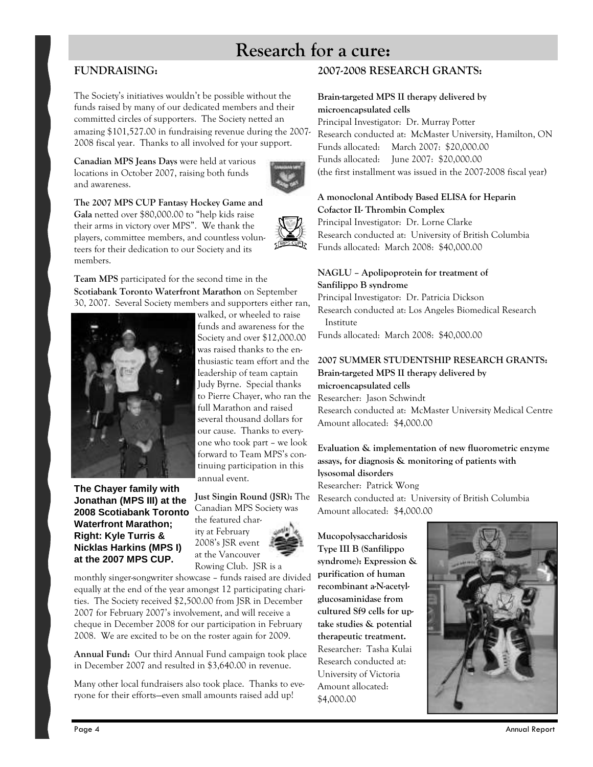# Research for a cure:

## FUNDRAISING:

The Society's initiatives wouldn't be possible without the funds raised by many of our dedicated members and their committed circles of supporters. The Society netted an amazing \$101,527.00 in fundraising revenue during the 2007- 2008 fiscal year. Thanks to all involved for your support.

Canadian MPS Jeans Days were held at various locations in October 2007, raising both funds and awareness.



The 2007 MPS CUP Fantasy Hockey Game and Gala netted over \$80,000.00 to "help kids raise their arms in victory over MPS". We thank the players, committee members, and countless volunteers for their dedication to our Society and its members.



30, 2007. Several Society members and supporters either ran,

**The Chayer family with Jonathan (MPS III) at the 2008 Scotiabank Toronto Waterfront Marathon; Right: Kyle Turris & Nicklas Harkins (MPS I) at the 2007 MPS CUP.** 

walked, or wheeled to raise funds and awareness for the Society and over \$12,000.00 was raised thanks to the enthusiastic team effort and the leadership of team captain Judy Byrne. Special thanks to Pierre Chayer, who ran the full Marathon and raised several thousand dollars for our cause. Thanks to everyone who took part – we look forward to Team MPS's continuing participation in this annual event.

## Just Singin Round (JSR): The

Canadian MPS Society was the featured charity at February 2008's JSR event at the Vancouver Rowing Club. JSR is a



monthly singer-songwriter showcase – funds raised are divided equally at the end of the year amongst 12 participating charities. The Society received \$2,500.00 from JSR in December 2007 for February 2007's involvement, and will receive a cheque in December 2008 for our participation in February 2008. We are excited to be on the roster again for 2009.

Annual Fund: Our third Annual Fund campaign took place in December 2007 and resulted in \$3,640.00 in revenue.

Many other local fundraisers also took place. Thanks to everyone for their efforts—even small amounts raised add up!

## 2007-2008 RESEARCH GRANTS:

### Brain-targeted MPS II therapy delivered by microencapsulated cells

Principal Investigator: Dr. Murray Potter Research conducted at: McMaster University, Hamilton, ON Funds allocated: March 2007: \$20,000.00 Funds allocated: June 2007: \$20,000.00 (the first installment was issued in the 2007-2008 fiscal year)

## A monoclonal Antibody Based ELISA for Heparin Cofactor II- Thrombin Complex

Principal Investigator: Dr. Lorne Clarke Research conducted at: University of British Columbia Funds allocated: March 2008: \$40,000.00

### NAGLU – Apolipoprotein for treatment of Sanfilippo B syndrome

Principal Investigator: Dr. Patricia Dickson Research conducted at: Los Angeles Biomedical Research Institute Funds allocated: March 2008: \$40,000.00

#### 2007 SUMMER STUDENTSHIP RESEARCH GRANTS: Brain-targeted MPS II therapy delivered by microencapsulated cells

Researcher: Jason Schwindt Research conducted at: McMaster University Medical Centre Amount allocated: \$4,000.00

## Evaluation & implementation of new fluorometric enzyme assays, for diagnosis & monitoring of patients with lysosomal disorders

Researcher: Patrick Wong Research conducted at: University of British Columbia Amount allocated: \$4,000.00

Mucopolysaccharidosis Type III B (Sanfilippo syndrome): Expression & purification of human recombinant a-N-acetylglucosaminidase from cultured Sf9 cells for uptake studies & potential therapeutic treatment. Researcher: Tasha Kulai Research conducted at: University of Victoria Amount allocated: \$4,000.00

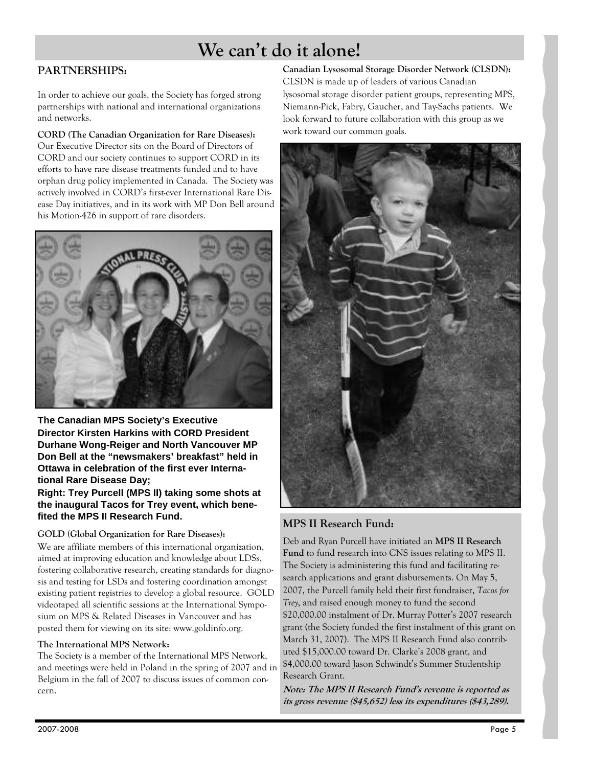# We can't do it alone!

## PARTNERSHIPS:

In order to achieve our goals, the Society has forged strong partnerships with national and international organizations and networks.

CORD (The Canadian Organization for Rare Diseases): Our Executive Director sits on the Board of Directors of CORD and our society continues to support CORD in its efforts to have rare disease treatments funded and to have orphan drug policy implemented in Canada. The Society was actively involved in CORD's first-ever International Rare Disease Day initiatives, and in its work with MP Don Bell around his Motion-426 in support of rare disorders.



**The Canadian MPS Society's Executive Director Kirsten Harkins with CORD President Durhane Wong-Reiger and North Vancouver MP Don Bell at the "newsmakers' breakfast" held in Ottawa in celebration of the first ever International Rare Disease Day;** 

**Right: Trey Purcell (MPS II) taking some shots at the inaugural Tacos for Trey event, which benefited the MPS II Research Fund.** 

## GOLD (Global Organization for Rare Diseases):

We are affiliate members of this international organization, aimed at improving education and knowledge about LDSs, fostering collaborative research, creating standards for diagnosis and testing for LSDs and fostering coordination amongst existing patient registries to develop a global resource. GOLD videotaped all scientific sessions at the International Symposium on MPS & Related Diseases in Vancouver and has posted them for viewing on its site: www.goldinfo.org.

## The International MPS Network:

The Society is a member of the International MPS Network, and meetings were held in Poland in the spring of 2007 and in Belgium in the fall of 2007 to discuss issues of common concern.

Canadian Lysosomal Storage Disorder Network (CLSDN): CLSDN is made up of leaders of various Canadian lysosomal storage disorder patient groups, representing MPS, Niemann-Pick, Fabry, Gaucher, and Tay-Sachs patients. We look forward to future collaboration with this group as we work toward our common goals.



## MPS II Research Fund:

Deb and Ryan Purcell have initiated an MPS II Research Fund to fund research into CNS issues relating to MPS II. The Society is administering this fund and facilitating research applications and grant disbursements. On May 5, 2007, the Purcell family held their first fundraiser, Tacos for Trey, and raised enough money to fund the second \$20,000.00 instalment of Dr. Murray Potter's 2007 research grant (the Society funded the first instalment of this grant on March 31, 2007). The MPS II Research Fund also contributed \$15,000.00 toward Dr. Clarke's 2008 grant, and \$4,000.00 toward Jason Schwindt's Summer Studentship Research Grant.

Note: The MPS II Research Fund's revenue is reported as its gross revenue (\$45,652) less its expenditures (\$43,289).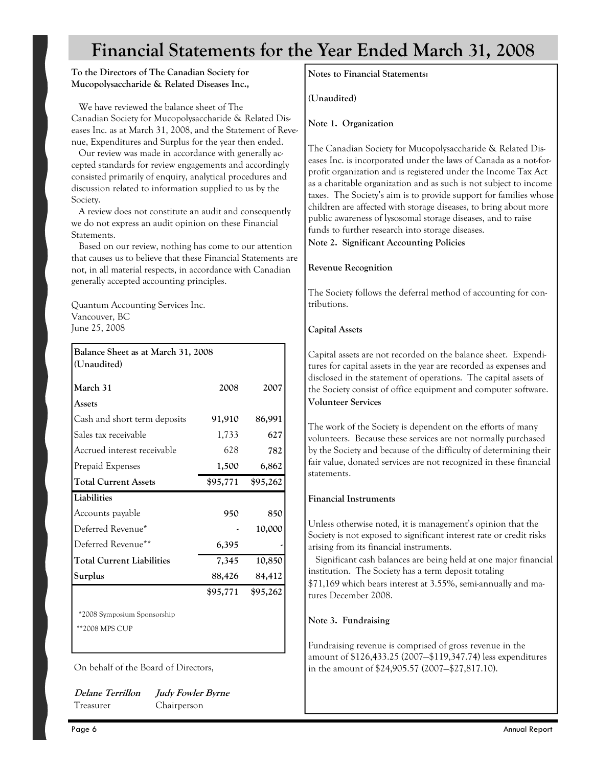# Financial Statements for the Year Ended March 31, 2008

### To the Directors of The Canadian Society for Mucopolysaccharide & Related Diseases Inc.,

 We have reviewed the balance sheet of The Canadian Society for Mucopolysaccharide & Related Diseases Inc. as at March 31, 2008, and the Statement of Revenue, Expenditures and Surplus for the year then ended.

 Our review was made in accordance with generally accepted standards for review engagements and accordingly consisted primarily of enquiry, analytical procedures and discussion related to information supplied to us by the Society.

 A review does not constitute an audit and consequently we do not express an audit opinion on these Financial Statements.

 Based on our review, nothing has come to our attention that causes us to believe that these Financial Statements are not, in all material respects, in accordance with Canadian generally accepted accounting principles.

Quantum Accounting Services Inc. Vancouver, BC June 25, 2008

| Balance Sheet as at March 31, 2008 |          |          |  |
|------------------------------------|----------|----------|--|
| (Unaudited)                        |          |          |  |
| March 31                           | 2008     | 2007     |  |
| Assets                             |          |          |  |
| Cash and short term deposits       | 91,910   | 86,991   |  |
| Sales tax receivable               | 1,733    | 627      |  |
| Accrued interest receivable        | 628      | 782      |  |
| Prepaid Expenses                   | 1,500    | 6,862    |  |
| <b>Total Current Assets</b>        | \$95,771 | \$95,262 |  |
| Liabilities                        |          |          |  |
| Accounts payable                   |          |          |  |
|                                    | 950      | 850      |  |
| Deferred Revenue*                  |          | 10,000   |  |
| Deferred Revenue**                 | 6,395    |          |  |
| <b>Total Current Liabilities</b>   | 7,345    | 10,850   |  |
| Surplus                            | 88,426   | 84,412   |  |
|                                    | \$95,771 | \$95,262 |  |

\*\*2008 MPS CUP

On behalf of the Board of Directors,

Delane Terrillon Judy Fowler Byrne Treasurer Chairperson

Notes to Financial Statements:

(Unaudited)

Note 1. Organization

The Canadian Society for Mucopolysaccharide & Related Diseases Inc. is incorporated under the laws of Canada as a not-forprofit organization and is registered under the Income Tax Act as a charitable organization and as such is not subject to income taxes. The Society's aim is to provide support for families whose children are affected with storage diseases, to bring about more public awareness of lysosomal storage diseases, and to raise funds to further research into storage diseases.

Note 2. Significant Accounting Policies

## Revenue Recognition

The Society follows the deferral method of accounting for contributions.

## Capital Assets

Capital assets are not recorded on the balance sheet. Expenditures for capital assets in the year are recorded as expenses and disclosed in the statement of operations. The capital assets of the Society consist of office equipment and computer software. Volunteer Services

The work of the Society is dependent on the efforts of many volunteers. Because these services are not normally purchased by the Society and because of the difficulty of determining their fair value, donated services are not recognized in these financial statements.

## Financial Instruments

Unless otherwise noted, it is management's opinion that the Society is not exposed to significant interest rate or credit risks arising from its financial instruments.

 Significant cash balances are being held at one major financial institution. The Society has a term deposit totaling

\$71,169 which bears interest at 3.55%, semi-annually and matures December 2008.

## Note 3. Fundraising

Fundraising revenue is comprised of gross revenue in the amount of \$126,433.25 (2007—\$119,347.74) less expenditures in the amount of \$24,905.57 (2007—\$27,817.10).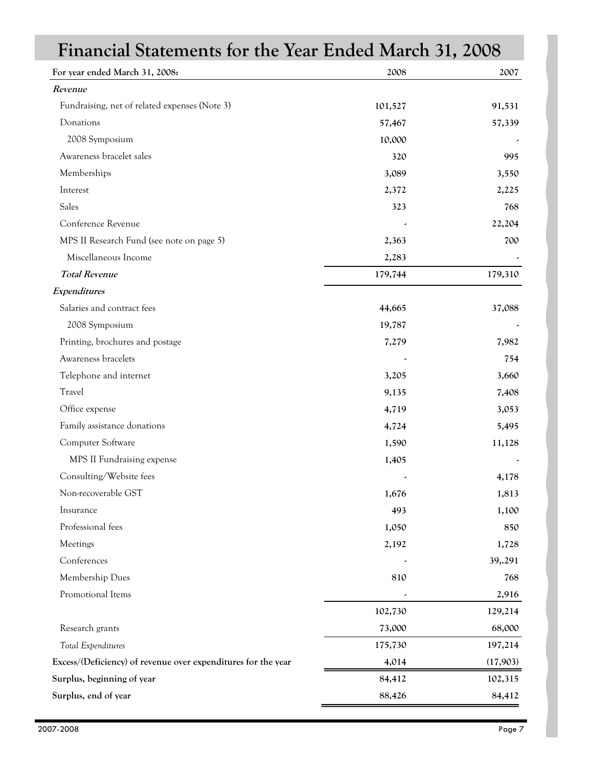| Financial Statements for the Year Ended March 31, 2008        |         |          |  |
|---------------------------------------------------------------|---------|----------|--|
| For year ended March 31, 2008:                                | 2008    | 2007     |  |
| Revenue                                                       |         |          |  |
| Fundraising, net of related expenses (Note 3)                 | 101,527 | 91,531   |  |
| Donations                                                     | 57,467  | 57,339   |  |
| 2008 Symposium                                                | 10,000  |          |  |
| Awareness bracelet sales                                      | 320     | 995      |  |
| Memberships                                                   | 3,089   | 3,550    |  |
| Interest                                                      | 2,372   | 2,225    |  |
| Sales                                                         | 323     | 768      |  |
| Conference Revenue                                            |         | 22,204   |  |
| MPS II Research Fund (see note on page 5)                     | 2,363   | 700      |  |
| Miscellaneous Income                                          | 2,283   |          |  |
| <b>Total Revenue</b>                                          | 179,744 | 179,310  |  |
| Expenditures                                                  |         |          |  |
| Salaries and contract fees                                    | 44,665  | 37,088   |  |
| 2008 Symposium                                                | 19,787  |          |  |
| Printing, brochures and postage                               | 7,279   | 7,982    |  |
| Awareness bracelets                                           |         | 754      |  |
| Telephone and internet                                        | 3,205   | 3,660    |  |
| Travel                                                        | 9,135   | 7,408    |  |
| Office expense                                                | 4,719   | 3,053    |  |
| Family assistance donations                                   | 4,724   | 5,495    |  |
| Computer Software                                             | 1,590   | 11,128   |  |
| MPS II Fundraising expense                                    | 1,405   |          |  |
| Consulting/Website fees                                       |         | 4,178    |  |
| Non-recoverable GST                                           | 1,676   | 1,813    |  |
| Insurance                                                     | 493     | 1,100    |  |
| Professional fees                                             | 1,050   | 850      |  |
| Meetings                                                      | 2,192   | 1,728    |  |
| Conferences                                                   |         | 39,.291  |  |
| Membership Dues                                               | 810     | 768      |  |
| Promotional Items                                             |         | 2,916    |  |
|                                                               | 102,730 | 129,214  |  |
| Research grants                                               | 73,000  | 68,000   |  |
| Total Expenditures                                            | 175,730 | 197,214  |  |
| Excess/(Deficiency) of revenue over expenditures for the year | 4,014   | (17,903) |  |
| Surplus, beginning of year                                    | 84,412  | 102,315  |  |
| Surplus, end of year                                          | 88,426  | 84,412   |  |